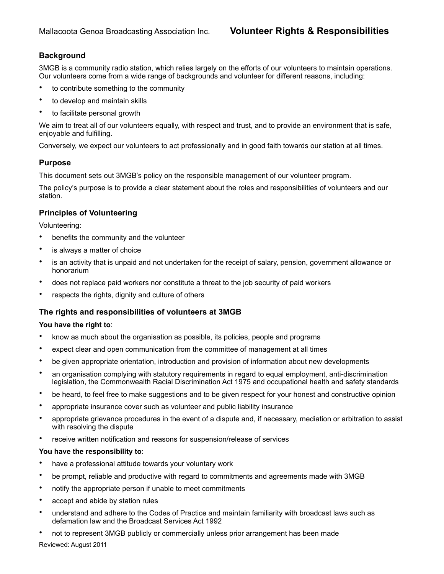# **Background**

3MGB is a community radio station, which relies largely on the efforts of our volunteers to maintain operations. Our volunteers come from a wide range of backgrounds and volunteer for different reasons, including:

- to contribute something to the community
- to develop and maintain skills
- to facilitate personal growth

We aim to treat all of our volunteers equally, with respect and trust, and to provide an environment that is safe, enjoyable and fulfilling.

Conversely, we expect our volunteers to act professionally and in good faith towards our station at all times.

# **Purpose**

This document sets out 3MGB's policy on the responsible management of our volunteer program.

The policy's purpose is to provide a clear statement about the roles and responsibilities of volunteers and our station.

# **Principles of Volunteering**

Volunteering:

- benefits the community and the volunteer
- is always a matter of choice
- is an activity that is unpaid and not undertaken for the receipt of salary, pension, government allowance or honorarium
- does not replace paid workers nor constitute a threat to the job security of paid workers
- respects the rights, dignity and culture of others

### **The rights and responsibilities of volunteers at 3MGB**

#### **You have the right to**:

- know as much about the organisation as possible, its policies, people and programs
- expect clear and open communication from the committee of management at all times
- be given appropriate orientation, introduction and provision of information about new developments
- an organisation complying with statutory requirements in regard to equal employment, anti-discrimination legislation, the Commonwealth Racial Discrimination Act 1975 and occupational health and safety standards
- be heard, to feel free to make suggestions and to be given respect for your honest and constructive opinion
- appropriate insurance cover such as volunteer and public liability insurance
- appropriate grievance procedures in the event of a dispute and, if necessary, mediation or arbitration to assist with resolving the dispute
- receive written notification and reasons for suspension/release of services

### **You have the responsibility to**:

- have a professional attitude towards your voluntary work
- be prompt, reliable and productive with regard to commitments and agreements made with 3MGB
- notify the appropriate person if unable to meet commitments
- accept and abide by station rules
- understand and adhere to the Codes of Practice and maintain familiarity with broadcast laws such as defamation law and the Broadcast Services Act 1992
- not to represent 3MGB publicly or commercially unless prior arrangement has been made

Reviewed: August 2011